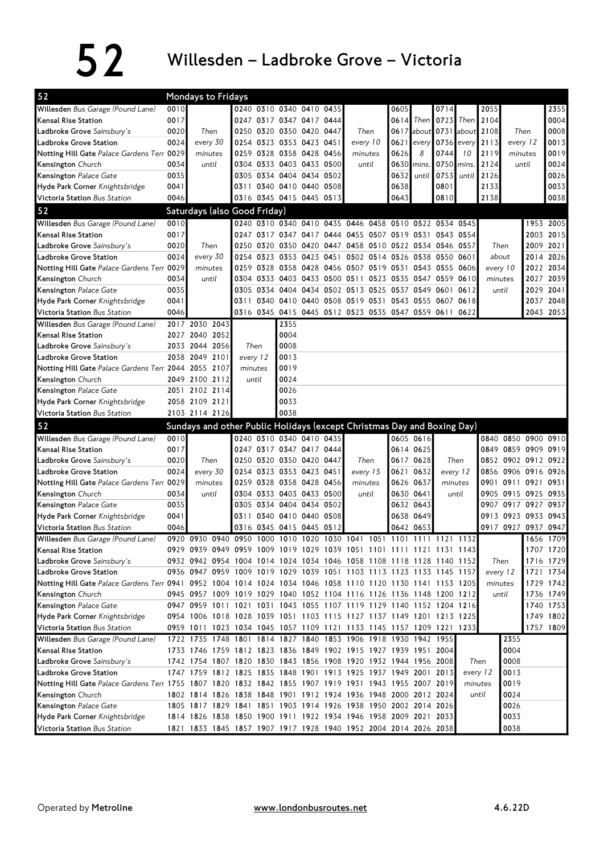| 52                                                                                                          |      | <b>Mondays to Fridays</b>                                               |         |          |                                                 |      |                                                        |      |                            |                         |                     |          |                                  |           |                        |
|-------------------------------------------------------------------------------------------------------------|------|-------------------------------------------------------------------------|---------|----------|-------------------------------------------------|------|--------------------------------------------------------|------|----------------------------|-------------------------|---------------------|----------|----------------------------------|-----------|------------------------|
| Willesden Bus Garage (Pound Lane)                                                                           | 0010 |                                                                         |         |          | 0240 0310 0340 0410 0435                        |      |                                                        | 0605 |                            | 0714                    |                     | 2055     |                                  |           | 2355                   |
| Kensal Rise Station                                                                                         | 0017 |                                                                         |         |          | 0247 0317 0347 0417 0444                        |      |                                                        | 0614 |                            | Then $\vert 0723 \vert$ | Then                | 2104     |                                  |           | 0004                   |
| Ladbroke Grove Sainsbury's                                                                                  | 0020 | Then                                                                    |         |          | 0250 0320 0350 0420 0447                        |      | Then                                                   |      | 0617 about 0731 about 2108 |                         |                     |          | Then                             |           | 0008                   |
| Ladbroke Grove Station                                                                                      | 0024 | every 30                                                                |         |          | 0254 0323 0353 0423 0451                        |      | every 10                                               | 0621 |                            | every 0736 every        |                     | 2113     | every 12                         |           | 0013                   |
| Notting Hill Gate Palace Gardens Terr 0029                                                                  |      | minutes                                                                 | 0259    |          | 0328 0358 0428 0456                             |      | minutes                                                | 0626 | 8                          | 0744                    | 10                  | 2119     | minutes                          |           | 0019                   |
| Kensington Church                                                                                           | 0034 | until                                                                   |         |          | 0304 0333 0403 0433 0500                        |      | until                                                  | 0630 | mins                       | 0750                    | mins.               | 2124     | until                            |           | 0024                   |
| Kensington Palace Gate                                                                                      | 0035 |                                                                         | 0305    |          | 0334 0404 0434 0502                             |      |                                                        | 0632 | until                      | 0753                    | until               | 2126     |                                  |           | 0026                   |
| Hyde Park Corner Knightsbridge                                                                              | 0041 |                                                                         |         |          | 0311 0340 0410 0440 0508                        |      |                                                        | 0638 |                            | 0801                    |                     | 2133     |                                  |           | 0033                   |
| Victoria Station Bus Station                                                                                | 0046 |                                                                         |         |          | 0316 0345 0415 0445 0513                        |      |                                                        | 0643 |                            | 0810                    |                     | 2138     |                                  |           | 0038                   |
| 52                                                                                                          |      | Saturdays (also Good Friday)                                            |         |          |                                                 |      |                                                        |      |                            |                         |                     |          |                                  |           |                        |
| Willesden Bus Garage (Pound Lane)                                                                           | 0010 |                                                                         |         |          |                                                 |      | 0240 0310 0340 0410 0435 0446 0458 0510 0522 0534 0545 |      |                            |                         |                     |          |                                  | 1953 2005 |                        |
| Kensal Rise Station                                                                                         | 0017 |                                                                         |         |          |                                                 |      | 0247 0317 0347 0417 0444 0455 0507 0519 0531 0543 0554 |      |                            |                         |                     |          |                                  | 2003      | 2015                   |
| Ladbroke Grove Sainsbury's                                                                                  | 0020 | Then                                                                    | 0250    |          |                                                 |      | 0320 0350 0420 0447 0458 0510 0522 0534 0546 0557      |      |                            |                         |                     | Then     |                                  | 2009      | 2021                   |
| Ladbroke Grove Station                                                                                      | 0024 | every 30                                                                | 0254    |          | 0323 0353 0423 0451                             |      | 0502 0514 0526 0538 0550 0601                          |      |                            |                         |                     | about    |                                  | 2014      | 2026                   |
| Notting Hill Gate Palace Gardens Terr 0029                                                                  |      | minutes                                                                 | 0259    |          |                                                 |      | 0328 0358 0428 0456 0507 0519 0531 0543 0555 0606      |      |                            |                         |                     | every 10 |                                  |           | 2022 2034              |
| Kensington Church                                                                                           | 0034 | until                                                                   |         |          |                                                 |      | 0304 0333 0403 0433 0500 0511 0523 0535 0547 0559 0610 |      |                            |                         |                     | minutes  |                                  | 2027 2039 |                        |
| Kensington Palace Gate                                                                                      | 0035 |                                                                         |         |          |                                                 |      | 0305 0334 0404 0434 0502 0513 0525 0537 0549           |      |                            | 0601                    | 0612                | until    |                                  | 2029      | 2041                   |
| Hyde Park Corner Knightsbridge                                                                              | 0041 |                                                                         |         |          |                                                 |      | 0311 0340 0410 0440 0508 0519 0531 0543 0555           |      |                            |                         | 0607 0618           |          |                                  | 2037      | 2048                   |
| Victoria Station Bus Station                                                                                | 0046 |                                                                         |         |          |                                                 |      | 0316 0345 0415 0445 0512 0523 0535 0547 0559 0611      |      |                            |                         | 0622                |          |                                  | 2043 2053 |                        |
| Willesden Bus Garage (Pound Lane)                                                                           |      | 2017 2030 2043                                                          |         |          | 2355                                            |      |                                                        |      |                            |                         |                     |          |                                  |           |                        |
| Kensal Rise Station                                                                                         |      | 2027 2040 2052                                                          |         |          | 0004                                            |      |                                                        |      |                            |                         |                     |          |                                  |           |                        |
| Ladbroke Grove Sainsbury's                                                                                  |      | 2033 2044 2056                                                          |         | Then     | 0008                                            |      |                                                        |      |                            |                         |                     |          |                                  |           |                        |
| Ladbroke Grove Station                                                                                      |      | 2038 2049 2101                                                          |         | every 12 | 0013                                            |      |                                                        |      |                            |                         |                     |          |                                  |           |                        |
| Notting Hill Gate Palace Gardens Terr 2044 2055 2107                                                        |      |                                                                         | minutes |          | 0019                                            |      |                                                        |      |                            |                         |                     |          |                                  |           |                        |
| Kensington Church                                                                                           |      | 2049 2100 2112                                                          |         | until    | 0024                                            |      |                                                        |      |                            |                         |                     |          |                                  |           |                        |
| <b>Kensington</b> Palace Gate                                                                               |      | 2051 2102 2114                                                          |         |          | 0026                                            |      |                                                        |      |                            |                         |                     |          |                                  |           |                        |
| Hyde Park Corner Knightsbridge                                                                              |      | 2058 2109 2121                                                          |         |          | 0033                                            |      |                                                        |      |                            |                         |                     |          |                                  |           |                        |
|                                                                                                             |      |                                                                         |         |          |                                                 |      |                                                        |      |                            |                         |                     |          |                                  |           |                        |
|                                                                                                             |      |                                                                         |         |          | 0038                                            |      |                                                        |      |                            |                         |                     |          |                                  |           |                        |
| Victoria Station Bus Station                                                                                |      | 2103 2114 2126                                                          |         |          |                                                 |      |                                                        |      |                            |                         |                     |          |                                  |           |                        |
| 52                                                                                                          |      | Sundays and other Public Holidays (except Christmas Day and Boxing Day) |         |          | 0240 0310 0340 0410 0435                        |      |                                                        |      |                            |                         |                     |          |                                  |           |                        |
| Willesden Bus Garage (Pound Lane)                                                                           | 0010 |                                                                         |         |          |                                                 |      |                                                        |      | 0605 0616                  |                         |                     |          | 0840 0850 0900 0910              |           |                        |
| Kensal Rise Station                                                                                         | 0017 | Then                                                                    |         |          | 0247 0317 0347 0417 0444                        |      | Then                                                   |      | 0614 0625                  |                         | Then                |          | 0849 0859 0909 0919              |           |                        |
| Ladbroke Grove Sainsbury's                                                                                  | 0020 |                                                                         |         |          | 0250 0320 0350 0420 0447                        |      |                                                        |      | 0617 0628                  |                         |                     |          | 0852 0902 0912 0922              |           | 0926                   |
| Ladbroke Grove Station                                                                                      | 0024 | every 30<br>minutes                                                     | 0259    |          | 0254 0323 0353 0423 0451<br>0328 0358 0428 0456 |      | every 15<br>minutes                                    | 0621 | 0632<br>0626 0637          |                         | every 12<br>minutes |          | 0856 0906 0916<br>0901 0911 0921 |           | 0931                   |
| Notting Hill Gate Palace Gardens Terr 0029                                                                  | 0034 | until                                                                   | 0304    |          | 0333 0403 0433 0500                             |      | until                                                  |      | 0630 0641                  |                         | until               |          | 0905 0915 0925                   |           | 0935                   |
| Kensington Church                                                                                           | 0035 |                                                                         | 0305    |          | 0334 0404 0434 0502                             |      |                                                        |      | 0632 0643                  |                         |                     |          | 0907 0917 0927                   |           | 0937                   |
| Kensington Palace Gate                                                                                      | 0041 |                                                                         |         |          | 0311 0340 0410 0440                             | 0508 |                                                        |      | 0638 0649                  |                         |                     |          | 0913 0923 0933 0943              |           |                        |
| Hyde Park Corner Knightsbridge<br>Victoria Station Bus Station                                              | 0046 |                                                                         |         |          | 0316 0345 0415 0445 0512                        |      |                                                        |      | 0642 0653                  |                         |                     |          | 0917 0927 0937 0947              |           |                        |
|                                                                                                             |      | 0920 0930 0940 0950 1000 1010 1020 1030 1041 1051 1101 1111 1121        |         |          |                                                 |      |                                                        |      |                            |                         | 1132                |          |                                  |           | 1656 1709              |
| Willesden Bus Garage (Pound Lane)                                                                           |      | 0929 0939 0949 0959 1009 1019 1029 1039 1051 1101 1111 1121 1131 1143   |         |          |                                                 |      |                                                        |      |                            |                         |                     |          |                                  |           | 1707 1720              |
| Kensal Rise Station<br>Ladbroke Grove Sainsbury's                                                           |      | 0932 0942 0954 1004 1014 1024 1034 1046 1058 1108 1118 1128 1140 1152   |         |          |                                                 |      |                                                        |      |                            |                         |                     | Then     |                                  |           | 1716 1729              |
| Ladbroke Grove Station                                                                                      |      | 0936 0947 0959 1009 1019 1029 1039 1051 1103 1113 1123 1133 1145 1157   |         |          |                                                 |      |                                                        |      |                            |                         |                     | every 12 |                                  |           |                        |
| Notting Hill Gate Palace Gardens Terr 0941 0952 1004 1014 1024 1034 1046 1058 1110 1120 1130 1141 1153 1205 |      |                                                                         |         |          |                                                 |      |                                                        |      |                            |                         |                     | minutes  |                                  |           | 1721 1734<br>1729 1742 |
| Kensington Church                                                                                           |      | 0945 0957 1009 1019 1029 1040 1052 1104 1116 1126 1136 1148 1200 1212   |         |          |                                                 |      |                                                        |      |                            |                         |                     | until    |                                  |           | 1736 1749              |
| Kensington Palace Gate                                                                                      |      | 0947 0959 1011 1021 1031 1043 1055 1107 1119 1129 1140 1152 1204 1216   |         |          |                                                 |      |                                                        |      |                            |                         |                     |          |                                  |           |                        |
| Hyde Park Corner Knightsbridge                                                                              |      | 0954 1006 1018 1028 1039 1051 1103 1115 1127 1137 1149 1201 1213 1225   |         |          |                                                 |      |                                                        |      |                            |                         |                     |          |                                  |           | 1740 1753<br>1749 1802 |
| Victoria Station Bus Station                                                                                |      | 0959 1011 1023 1034 1045 1057 1109 1121 1133 1145 1157 1209 1221 1233   |         |          |                                                 |      |                                                        |      |                            |                         |                     |          |                                  | 1757 1809 |                        |
| Willesden Bus Garage (Pound Lane)                                                                           |      | 1722 1735 1748 1801 1814 1827 1840 1853 1906 1918 1930 1942 1955        |         |          |                                                 |      |                                                        |      |                            |                         |                     |          | 2355                             |           |                        |
| Kensal Rise Station                                                                                         |      | 1733 1746 1759 1812 1823 1836 1849 1902 1915 1927 1939 1951 2004        |         |          |                                                 |      |                                                        |      |                            |                         |                     |          | 0004                             |           |                        |
| Ladbroke Grove Sainsbury's                                                                                  |      | 1742 1754 1807 1820 1830 1843 1856 1908 1920 1932 1944 1956 2008        |         |          |                                                 |      |                                                        |      |                            |                         |                     | Then     | 0008                             |           |                        |
| Ladbroke Grove Station                                                                                      |      | 1747 1759 1812 1825 1835 1848 1901 1913 1925 1937 1949 2001 2013        |         |          |                                                 |      |                                                        |      |                            |                         |                     | every 12 | 0013                             |           |                        |
| Notting Hill Gate Palace Gardens Terr 1755 1807 1820 1832 1842 1855 1907 1919 1931 1943 1955 2007 2019      |      |                                                                         |         |          |                                                 |      |                                                        |      |                            |                         |                     | minutes  | 0019                             |           |                        |
| Kensington Church                                                                                           |      | 1802 1814 1826 1838 1848 1901 1912 1924 1936 1948 2000 2012 2024        |         |          |                                                 |      |                                                        |      |                            |                         |                     | until    | 0024                             |           |                        |
| Kensington Palace Gate                                                                                      |      | 1805 1817 1829 1841 1851 1903 1914 1926 1938 1950 2002 2014 2026        |         |          |                                                 |      |                                                        |      |                            |                         |                     |          | 0026                             |           |                        |
| Hyde Park Corner Knightsbridge                                                                              |      | 1814 1826 1838 1850 1900 1911 1922 1934 1946 1958 2009 2021 2033        |         |          |                                                 |      |                                                        |      |                            |                         |                     |          | 0033                             |           |                        |